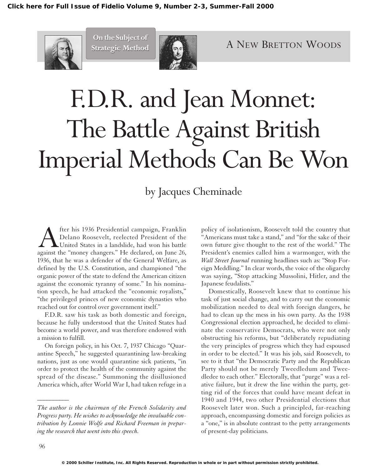

**On the Subject of On the Subject of Strategic Method Strategic Method**



# F.D.R. and Jean Monnet: The Battle Against British Imperial Methods Can Be Won

# by Jacques Cheminade

**A** fter his 1936 Presidential campaign, Franklin Delano Roosevelt, reelected President of the United States in a landslide, had won his battle against the "money changers." He declared, on June 26, Delano Roosevelt, reelected President of the United States in a landslide, had won his battle against the "money changers." He declared, on June 26, 1936, that he was a defender of the General Welfare, as defined by the U.S. Constitution, and championed "the organic power of the state to defend the American citizen against the economic tyranny of some." In his nomination speech, he had attacked the "economic royalists," "the privileged princes of new economic dynasties who reached out for control over government itself."

F.D.R. saw his task as both domestic and foreign, because he fully understood that the United States had become a world power, and was therefore endowed with a mission to fulfill.

On foreign policy, in his Oct. 7, 1937 Chicago "Quarantine Speech," he suggested quarantining law-breaking nations, just as one would quarantine sick patients, "in order to protect the health of the community against the spread of the disease." Summoning the disillusioned America which, after World War I, had taken refuge in a

policy of isolationism, Roosevelt told the country that "Americans must take a stand," and "for the sake of their own future give thought to the rest of the world." The President's enemies called him a warmonger, with the *Wall Street Journal* running headlines such as: "Stop Foreign Meddling." In clear words, the voice of the oligarchy was saying, "Stop attacking Mussolini, Hitler, and the Japanese feudalists."

Domestically, Roosevelt knew that to continue his task of just social change, and to carry out the economic mobilization needed to deal with foreign dangers, he had to clean up the mess in his own party. As the 1938 Congressional election approached, he decided to eliminate the conservative Democrats, who were not only obstructing his reforms, but "deliberately repudiating the very principles of progress which they had espoused in order to be elected." It was his job, said Roosevelt, to see to it that "the Democratic Party and the Republican Party should not be merely Tweedledum and Tweedledee to each other." Electorally, that "purge" was a relative failure, but it drew the line within the party, getting rid of the forces that could have meant defeat in 1940 and 1944, two other Presidential elections that Roosevelt later won. Such a principled, far-reaching approach, encompassing domestic and foreign policies as a "one," is in absolute contrast to the petty arrangements of present-day politicians.

*\_\_\_\_\_\_\_\_\_\_*

*The author is the chairman of the French Solidarity and Progress party. He wishes to acknowledge the invaluable contribution by Lonnie Wolfe and Richard Freeman in preparing the research that went into this speech.*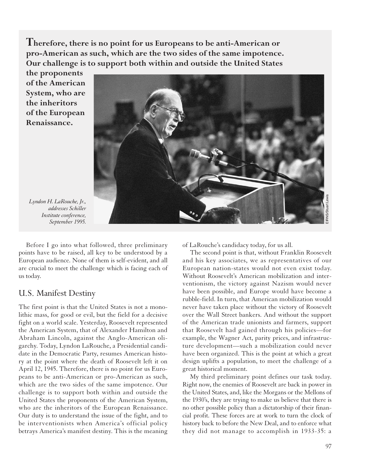**Therefore, there is no point for us Europeans to be anti-American or pro-American as such, which are the two sides of the same impotence. Our challenge is to support both within and outside the United States**

**the proponents of the American System, who are the inheritors of the European Renaissance.**



*Lyndon H. LaRouche, Jr., addresses Schiller Institute conference, September 1995.*

Before I go into what followed, three preliminary points have to be raised, all key to be understood by a European audience. None of them is self-evident, and all are crucial to meet the challenge which is facing each of us today.

### U.S. Manifest Destiny

The first point is that the United States is not a monolithic mass, for good or evil, but the field for a decisive fight on a world scale. Yesterday, Roosevelt represented the American System, that of Alexander Hamilton and Abraham Lincoln, against the Anglo-American oligarchy. Today, Lyndon LaRouche, a Presidential candidate in the Democratic Party, resumes American history at the point where the death of Roosevelt left it on April 12, 1945. Therefore, there is no point for us Europeans to be anti-American or pro-American as such, which are the two sides of the same impotence. Our challenge is to support both within and outside the United States the proponents of the American System, who are the inheritors of the European Renaissance. Our duty is to understand the issue of the fight, and to be interventionists when America's official policy betrays America's manifest destiny. This is the meaning of LaRouche's candidacy today, for us all.

The second point is that, without Franklin Roosevelt and his key associates, we as representatives of our European nation-states would not even exist today. Without Roosevelt's American mobilization and interventionism, the victory against Nazism would never have been possible, and Europe would have become a rubble-field. In turn, that American mobilization would never have taken place without the victory of Roosevelt over the Wall Street bankers. And without the support of the American trade unionists and farmers, support that Roosevelt had gained through his policies—for example, the Wagner Act, parity prices, and infrastructure development—such a mobilization could never have been organized. This is the point at which a great design uplifts a population, to meet the challenge of a great historical moment.

My third preliminary point defines our task today. Right now, the enemies of Roosevelt are back in power in the United States, and, like the Morgans or the Mellons of the 1930's, they are trying to make us believe that there is no other possible policy than a dictatorship of their financial profit. These forces are at work to turn the clock of history back to before the New Deal, and to enforce what they did not manage to accomplish in 1933-35: a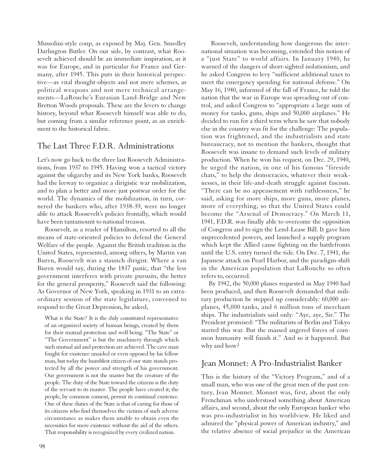Mussolini-style coup, as exposed by Maj. Gen. Smedley Darlington Butler. On our side, by contrast, what Roosevelt achieved should be an immediate inspiration, as it was for Europe, and in particular for France and Germany, after 1945. This puts in their historical perspective—as vital thought-objects and not mere schemes, as political weapons and not mere technical arrangements—LaRouche's Eurasian Land-Bridge and New Bretton Woods proposals. These are the levers to change history, beyond what Roosevelt himself was able to do, but coming from a similar reference point, as an enrichment to the historical fabric.

### The Last Three F.D.R. Administrations

Let's now go back to the three last Roosevelt Administrations, from 1937 to 1945. Having won a tactical victory against the oligarchy and its New York banks, Roosevelt had the leeway to organize a dirigistic war mobilization, and to plan a better and more just postwar order for the world. The dynamics of the mobilization, in turn, cornered the bankers who, after 1938-39, were no longer able to attack Roosevelt's policies frontally, which would have been tantamount to national treason.

Roosevelt, as a reader of Hamilton, resorted to all the means of state-oriented policies to defend the General Welfare of the people. Against the British tradition in the United States, represented, among others, by Martin van Buren, Roosevelt was a staunch dirigist. Where a van Buren would say, during the 1837 panic, that "the less government interferes with private pursuits, the better for the general prosperity," Roosevelt said the following: As Governor of New York, speaking in 1931 to an extraordinary session of the state legislature, convened to respond to the Great Depression, he asked,

What is the State? It is the duly constituted representative of an organized society of human beings, created by them for their mutual protection and well being. "The State" or "The Government" is but the machinery through which such mutual aid and protection are achieved. The cave man fought for existence unaided or even opposed by his fellow man, but today the humblest citizen of our state stands protected by all the power and strength of his government. Our government is not the master but the creature of the people. The duty of the State toward the citizens is the duty of the servant to its master. The people have created it; the people, by common consent, permit its continual existence. One of these duties of the State is that of caring for those of its citizens who find themselves the victims of such adverse circumstance as makes them unable to obtain even the necessities for mere existence without the aid of the others. That responsibility is recognized by every civilized nation.

Roosevelt, understanding how dangerous the international situation was becoming, extended this notion of a "just State" to world affairs. In January 1940, he warned of the dangers of short-sighted isolationism, and he asked Congress to levy "sufficient additional taxes to meet the emergency spending for national defense." On May 16, 1940, informed of the fall of France, he told the nation that the war in Europe was spreading out of control, and asked Congress to "appropriate a large sum of money for tanks, guns, ships and 50,000 airplanes." He decided to run for a third term when he saw that nobody else in the country was fit for the challenge: The population was frightened, and the industrialists and state bureaucracy, not to mention the bankers, thought that Roosevelt was insane to demand such levels of military production. When he won his request, on Dec. 29, 1940, he urged the nation, in one of his famous "fireside chats," to help the democracies, whatever their weaknesses, in their life-and-death struggle against fascism. "There can be no appeasement with ruthlessness," he said, asking for more ships, more guns, more planes, more of everything, so that the United States could become the "Arsenal of Democracy." On March 11, 1941, F.D.R. was finally able to overcome the opposition of Congress and to sign the Lend-Lease Bill. It gave him unprecedented powers, and launched a supply program which kept the Allied cause fighting on the battlefronts until the U.S. entry turned the tide. On Dec. 7, 1941, the Japanese attack on Pearl Harbor, and the paradigm-shift in the American population that LaRouche so often refers to, occurred.

By 1942, the 50,000 planes requested in May 1940 had been produced, and then Roosevelt demanded that military production be stepped up considerably: 60,000 airplanes, 45,000 tanks, and 6 million tons of merchant ships. The industrialists said only: "Aye, aye, Sir." The President promised: "The militarists of Berlin and Tokyo started this war. But the massed angered forces of common humanity will finish it." And so it happened. But why and how?

# Jean Monnet: A Pro-Industrialist Banker

This is the history of the "Victory Program," and of a small man, who was one of the great men of the past century, Jean Monnet. Monnet was, first, about the only Frenchman who understood something about American affairs, and second, about the only European banker who was pro-industrialist in his worldview. He liked and admired the "physical power of American industry," and the relative absence of social prejudice in the American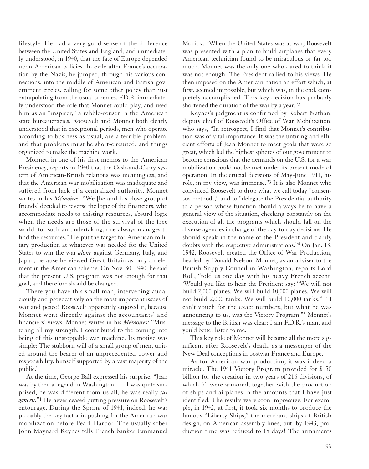lifestyle. He had a very good sense of the difference between the United States and England, and immediately understood, in 1940, that the fate of Europe depended upon American policies. In exile after France's occupation by the Nazis, he jumped, through his various connections, into the middle of American and British government circles, calling for some other policy than just extrapolating from the usual schemes. F.D.R. immediately understood the role that Monnet could play, and used him as an "inspirer," a rabble-rouser in the American state bureaucracies. Roosevelt and Monnet both clearly understood that in exceptional periods, men who operate according to business-as-usual, are a terrible problem, and that problems must be short-circuited, and things organized to make the machine work.

Monnet, in one of his first memos to the American Presidency, reports in 1940 that the Cash-and-Carry system of American-British relations was meaningless, and that the American war mobilization was inadequate and suffered from lack of a centralized authority. Monnet writes in his *Mémoires:* "We [he and his close group of friends] decided to reverse the logic of the financiers, who accommodate needs to existing resources, absurd logic when the needs are those of the survival of the free world: for such an undertaking, one always manages to find the resources." He put the target for American military production at whatever was needed for the United States to win the war *alone* against Germany, Italy, and Japan, because he viewed Great Britain as only an element in the American scheme. On Nov. 30, 1940, he said that the present U.S. program was not enough for that goal, and therefore should be changed.

There you have this small man, intervening audaciously and provocatively on the most important issues of war and peace! Roosevelt apparently enjoyed it, because Monnet went directly against the accountants' and financiers' views. Monnet writes in his *Mémoires:* "Mustering all my strength, I contributed to the coming into being of this unstoppable war machine. Its motive was simple: The stubborn will of a small group of men, united around the bearer of an unprecedented power and responsibility, himself supported by a vast majority of the public."

At the time, George Ball expressed his surprise: "Jean was by then a legend in Washington. . . . I was quite surprised, he was different from us all, he was really *sui generis.*"1 He never ceased putting pressure on Roosevelt's entourage. During the Spring of 1941, indeed, he was probably the key factor in pushing for the American war mobilization before Pearl Harbor. The usually sober John Maynard Keynes tells French banker Emmanuel

Monick: "When the United States was at war, Roosevelt was presented with a plan to build airplanes that every American technician found to be miraculous or far too much. Monnet was the only one who dared to think it was not enough. The President rallied to his views. He then imposed on the American nation an effort which, at first, seemed impossible, but which was, in the end, completely accomplished. This key decision has probably shortened the duration of the war by a year."2

Keynes's judgment is confirmed by Robert Nathan, deputy chief of Roosevelt's Office of War Mobilization, who says, "In retrospect, I find that Monnet's contribution was of vital importance. It was the untiring and efficient efforts of Jean Monnet to meet goals that were so great, which led the highest spheres of our government to become conscious that the demands on the U.S. for a war mobilization could not be met under its present mode of operation. In the crucial decisions of May-June 1941, his role, in my view, was immense."3 It is also Monnet who convinced Roosevelt to drop what we call today "consensus methods," and to "delegate the Presidential authority to a person whose function should always be to have a general view of the situation, checking constantly on the execution of all the programs which should fall on the diverse agencies in charge of the day-to-day decisions. He should speak in the name of the President and clarify doubts with the respective administrations."4 On Jan. 13, 1942, Roosevelt created the Office of War Production, headed by Donald Nelson. Monnet, as an adviser to the British Supply Council in Washington, reports Lord Roll, "told us one day with his heavy French accent: 'Would you like to hear the President say: "We will not build 2,000 planes. We will build 10,000 planes. We will not build 2,000 tanks. We will build 10,000 tanks." ' I can't vouch for the exact numbers, but what he was announcing to us, was the Victory Program."5 Monnet's message to the British was clear: I am F.D.R.'s man, and you'd better listen to me.

This key role of Monnet will become all the more significant after Roosevelt's death, as a messenger of the New Deal conceptions in postwar France and Europe.

As for American war production, it was indeed a miracle. The 1941 Victory Program provided for \$150 billion for the creation in two years of 216 divisions, of which 61 were armored, together with the production of ships and airplanes in the amounts that I have just identified. The results were soon impressive. For example, in 1942, at first, it took six months to produce the famous "Liberty Ships," the merchant ships of British design, on American assembly lines; but, by 1943, production time was reduced to 15 days! The armaments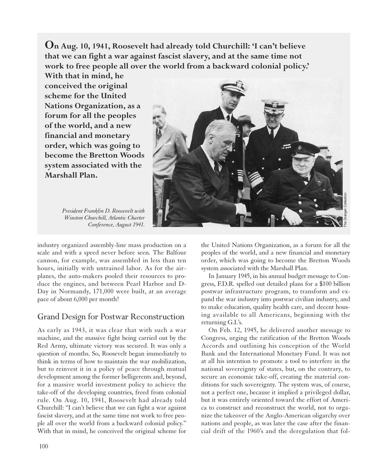**On Aug. 10, 1941, Roosevelt had already told Churchill: 'I can't believe that we can fight a war against fascist slavery, and at the same time not work to free people all over the world from a backward colonial policy.'**

**With that in mind, he conceived the original scheme for the United Nations Organization, as a forum for all the peoples of the world, and a new financial and monetary order, which was going to become the Bretton Woods system associated with the Marshall Plan.** 

> *President Franklin D. Roosevelt with Winston Churchill, Atlantic Charter Conference, August 1941.*



industry organized assembly-line mass production on a scale and with a speed never before seen. The Balfour cannon, for example, was assembled in less than ten hours, initially with untrained labor. As for the airplanes, the auto-makers pooled their resources to produce the engines, and between Pearl Harbor and D-Day in Normandy, 171,000 were built, at an average pace of about 6,000 per month!

# Grand Design for Postwar Reconstruction

As early as 1943, it was clear that with such a war machine, and the massive fight being carried out by the Red Army, ultimate victory was secured. It was only a question of months. So, Roosevelt began immediately to think in terms of how to maintain the war mobilization, but to reinvest it in a policy of peace through mutual development among the former belligerents and, beyond, for a massive world investment policy to achieve the take-off of the developing countries, freed from colonial rule. On Aug. 10, 1941, Roosevelt had already told Churchill: "I can't believe that we can fight a war against fascist slavery, and at the same time not work to free people all over the world from a backward colonial policy." With that in mind, he conceived the original scheme for

the United Nations Organization, as a forum for all the peoples of the world, and a new financial and monetary order, which was going to become the Bretton Woods system associated with the Marshall Plan.

In January 1945, in his annual budget message to Congress, F.D.R. spelled out detailed plans for a \$100 billion postwar infrastructure program, to transform and expand the war industry into postwar civilian industry, and to make education, quality health care, and decent housing available to all Americans, beginning with the returning G.I.'s.

On Feb. 12, 1945, he delivered another message to Congress, urging the ratification of the Bretton Woods Accords and outlining his conception of the World Bank and the International Monetary Fund. It was not at all his intention to promote a tool to interfere in the national sovereignty of states, but, on the contrary, to secure an economic take-off, creating the material conditions for such sovereignty. The system was, of course, not a perfect one, because it implied a privileged dollar, but it was entirely oriented toward the effort of America to construct and reconstruct the world, not to organize the takeover of the Anglo-American oligarchy over nations and people, as was later the case after the financial drift of the 1960's and the deregulation that fol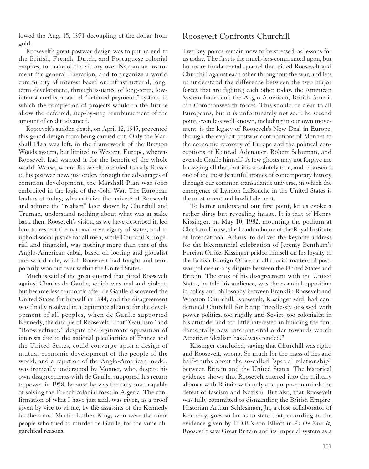lowed the Aug. 15, 1971 decoupling of the dollar from gold.

Roosevelt's great postwar design was to put an end to the British, French, Dutch, and Portuguese colonial empires, to make of the victory over Nazism an instrument for general liberation, and to organize a world community of interest based on infrastructural, longterm development, through issuance of long-term, lowinterest credits, a sort of "deferred payments" system, in which the completion of projects would in the future allow the deferred, step-by-step reimbursement of the amount of credit advanced.

Roosevelt's sudden death, on April 12, 1945, prevented this grand design from being carried out. Only the Marshall Plan was left, in the framework of the Bretton Woods system, but limited to Western Europe, whereas Roosevelt had wanted it for the benefit of the whole world. Worse, where Roosevelt intended to rally Russia to his postwar new, just order, through the advantages of common development, the Marshall Plan was soon embroiled in the logic of the Cold War. The European leaders of today, who criticize the naiveté of Roosevelt and admire the "realism" later shown by Churchill and Truman, understand nothing about what was at stake back then. Roosevelt's vision, as we have described it, led him to respect the national sovereignty of states, and to uphold social justice for all men, while Churchill's, imperial and financial, was nothing more than that of the Anglo-American cabal, based on looting and globalist one-world rule, which Roosevelt had fought and temporarily won out over within the United States.

Much is said of the great quarrel that pitted Roosevelt against Charles de Gaulle, which was real and violent, but became less traumatic after de Gaulle discovered the United States for himself in 1944, and the disagreement was finally resolved in a legitimate alliance for the development of all peoples, when de Gaulle supported Kennedy, the disciple of Roosevelt. That "Gaullism" and "Rooseveltism," despite the legitimate opposition of interests due to the national peculiarities of France and the United States, could converge upon a design of mutual economic development of the people of the world, and a rejection of the Anglo-American model, was ironically understood by Monnet, who, despite his own disagreements with de Gaulle, supported his return to power in 1958, because he was the only man capable of solving the French colonial mess in Algeria. The confirmation of what I have just said, was given, as a proof given by vice to virtue, by the assassins of the Kennedy brothers and Martin Luther King, who were the same people who tried to murder de Gaulle, for the same oligarchical reasons.

#### Roosevelt Confronts Churchill

Two key points remain now to be stressed, as lessons for us today. The first is the much-less-commented upon, but far more fundamental quarrel that pitted Roosevelt and Churchill against each other throughout the war, and lets us understand the difference between the two major forces that are fighting each other today, the American System forces and the Anglo-American, British-American-Commonwealth forces. This should be clear to all Europeans, but it is unfortunately not so. The second point, even less well known, including in our own movement, is the legacy of Roosevelt's New Deal in Europe, through the explicit postwar contributions of Monnet to the economic recovery of Europe and the political conceptions of Konrad Adenauer, Robert Schuman, and even de Gaulle himself. A few ghosts may not forgive me for saying all that, but it is absolutely true, and represents one of the most beautiful ironies of contemporary history through our common transatlantic universe, in which the emergence of Lyndon LaRouche in the United States is the most recent and lawful element.

To better understand our first point, let us evoke a rather dirty but revealing image. It is that of Henry Kissinger, on May 10, 1982, mounting the podium at Chatham House, the London home of the Royal Institute of International Affairs, to deliver the keynote address for the bicentennial celebration of Jeremy Bentham's Foreign Office. Kissinger prided himself on his loyalty to the British Foreign Office on all crucial matters of postwar policies in any dispute between the United States and Britain. The crux of his disagreement with the United States, he told his audience, was the essential opposition in policy and philosophy between Franklin Roosevelt and Winston Churchill. Roosevelt, Kissinger said, had condemned Churchill for being "needlessly obsessed with power politics, too rigidly anti-Soviet, too colonialist in his attitude, and too little interested in building the fundamentally new international order towards which American idealism has always tended."

Kissinger concluded, saying that Churchill was right, and Roosevelt, wrong. So much for the mass of lies and half-truths about the so-called "special relationship" between Britain and the United States. The historical evidence shows that Roosevelt entered into the military alliance with Britain with only one purpose in mind: the defeat of fascism and Nazism. But also, that Roosevelt was fully committed to dismantling the British Empire. Historian Arthur Schlesinger, Jr., a close collaborator of Kennedy, goes so far as to state that, according to the evidence given by F.D.R.'s son Elliott in *As He Saw It,* Roosevelt saw Great Britain and its imperial system as a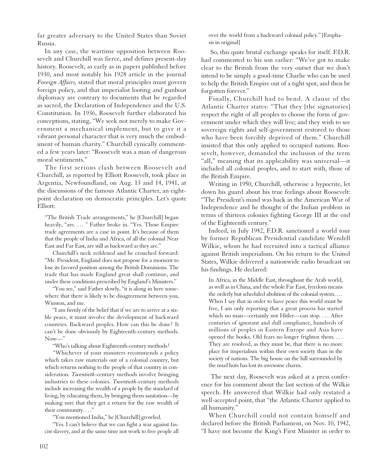far greater adversary to the United States than Soviet Russia.

In any case, the wartime opposition between Roosevelt and Churchill was fierce, and defines present-day history. Roosevelt, as early as in papers published before 1930, and most notably his 1928 article in the journal *Foreign Affairs,* stated that moral principles must govern foreign policy, and that imperialist looting and gunboat diplomacy are contrary to documents that he regarded as sacred, the Declaration of Independence and the U.S. Constitution. In 1936, Roosevelt further elaborated his conceptions, stating, "We seek not merely to make Government a mechanical implement, but to give it a vibrant personal character that is very much the embodiment of human charity." Churchill cynically commented a few years later: "Roosevelt was a man of dangerous moral sentiments."

The first serious clash between Roosevelt and Churchill, as reported by Elliott Roosevelt, took place in Argentia, Newfoundland, on Aug. 13 and 14, 1941, at the discussions of the famous Atlantic Charter, an eightpoint declaration on democratic principles. Let's quote Elliott:

"The British Trade arrangements," he [Churchill] began heavily, "are. . . . " Father broke in. "Yes. Those Empire trade agreements are a case in point. It's because of them that the people of India and Africa, of all the colonial Near East and Far East, are still as backward as they are."

Churchill's neck reddened and he crouched forward: "Mr. President, England does not propose for a moment to lose its favored position among the British Dominions. The trade that has made England great shall continue, and under these conditions prescribed by England's Ministers."

"You see," said Father slowly, "it is along in here somewhere that there is likely to be disagreement between you, Winston, and me.

"I am firmly of the belief that if we are to arrive at a stable peace, it must involve the development of backward countries. Backward peoples. How can this be done? It can't be done obviously by Eighteenth-century methods. Now—"

"Who's talking about Eighteenth-century methods?

"Whichever of your ministers recommends a policy which takes raw materials out of a colonial country, but which returns nothing to the people of that country in consideration. *Twentieth*-century methods involve bringing industries to these colonies. *Twentieth*-century methods include increasing the wealth of a people by the standard of living, by educating them, by bringing them sanitation—by making sure that they get a return for the raw wealth of their community...."

"You mentioned India," he [Churchill] growled.

"Yes. I can't believe that we can fight a war against fascist slavery, and at the same time not work to free people all over the world from a backward colonial policy." [Emphasis in original]

So, this quite brutal exchange speaks for itself. F.D.R. had commented to his son earlier: "We've got to make clear to the British from the very outset that we don't intend to be simply a good-time Charlie who can be used to help the British Empire out of a tight spot, and then be forgotten forever."

Finally, Churchill had to bend. A clause of the Atlantic Charter states: "That they [the signatories] respect the right of all peoples to choose the form of government under which they will live; and they wish to see sovereign rights and self-government restored to those who have been forcibly deprived of them." Churchill insisted that this only applied to occupied nations. Roosevelt, however, demanded the inclusion of the term "all," meaning that its applicability was universal—it included all colonial peoples, and to start with, those of the British Empire.

Writing in 1950, Churchill, otherwise a hypocrite, let down his guard about his true feelings about Roosevelt: "The President's mind was back in the American War of Independence and he thought of the Indian problem in terms of thirteen colonies fighting George III at the end of the Eighteenth century."

Indeed, in July 1942, F.D.R. sanctioned a world tour by former Republican Presidential candidate Wendell Wilkie, whom he had recruited into a tactical alliance against British imperialism. On his return to the United States, Wilkie delivered a nationwide radio broadcast on his findings. He declared:

In Africa, in the Middle East, throughout the Arab world, as well as in China, and the whole Far East, freedom means the orderly but scheduled abolition of the colonial system. . . . When I say that in order to have peace this world must be free, I am only reporting that a great process has started which no man—certainly not Hitler—can stop. . . . After centuries of ignorant and dull compliance, hundreds of millions of peoples in Eastern Europe and Asia have opened the books. Old fears no longer frighten them. . . . They are resolved, as they must be, that there is no more place for imperialism within their own society than in the society of nations. The big house on the hill surrounded by the mud huts has lost its awesome charm.

The next day, Roosevelt was asked at a press conference for his comment about the last section of the Wilkie speech. He answered that Wilkie had only restated a well-accepted point, that "the Atlantic Charter applied to all humanity."

When Churchill could not contain himself and declared before the British Parliament, on Nov. 10, 1942, "I have not become the King's First Minister in order to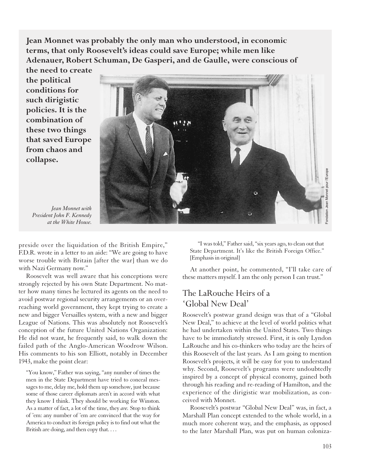**Jean Monnet was probably the only man who understood, in economic terms, that only Roosevelt's ideas could save Europe; while men like Adenauer, Robert Schuman, De Gasperi, and de Gaulle, were conscious of**

**the need to create the political conditions for such dirigistic policies. It is the combination of these two things that saved Europe from chaos and collapse.**



*Jean Monnet with President John F. Kennedy at the White House.*

preside over the liquidation of the British Empire," F.D.R. wrote in a letter to an aide: "We are going to have worse trouble with Britain [after the war] than we do with Nazi Germany now."

Roosevelt was well aware that his conceptions were strongly rejected by his own State Department. No matter how many times he lectured its agents on the need to avoid postwar regional security arrangements or an overreaching world government, they kept trying to create a new and bigger Versailles system, with a new and bigger League of Nations. This was absolutely not Roosevelt's conception of the future United Nations Organization: He did not want, he frequently said, to walk down the failed path of the Anglo-American Woodrow Wilson. His comments to his son Elliott, notably in December 1943, make the point clear:

"You know," Father was saying, "any number of times the men in the State Department have tried to conceal messages to me, delay me, hold them up somehow, just because some of those career diplomats aren't in accord with what they know I think. They should be working for Winston. As a matter of fact, a lot of the time, they *are.* Stop to think of 'em: any number of 'em are convinced that the way for America to conduct its foreign policy is to find out what the British are doing, and then copy that. . . .

"I was told," Father said, "six years ago, to clean out that State Department. It's like the British Foreign Office." [Emphasis in original]

At another point, he commented, "I'll take care of these matters myself. I am the only person I can trust."

# The LaRouche Heirs of a 'Global New Deal'

Roosevelt's postwar grand design was that of a "Global New Deal," to achieve at the level of world politics what he had undertaken within the United States. Two things have to be immediately stressed. First, it is only Lyndon LaRouche and his co-thinkers who today are the heirs of this Roosevelt of the last years. As I am going to mention Roosevelt's projects, it will be easy for you to understand why. Second, Roosevelt's programs were undoubtedly inspired by a concept of physical economy, gained both through his reading and re-reading of Hamilton, and the experience of the dirigistic war mobilization, as conceived with Monnet.

Roosevelt's postwar "Global New Deal" was, in fact, a Marshall Plan concept extended to the whole world, in a much more coherent way, and the emphasis, as opposed to the later Marshall Plan, was put on human coloniza-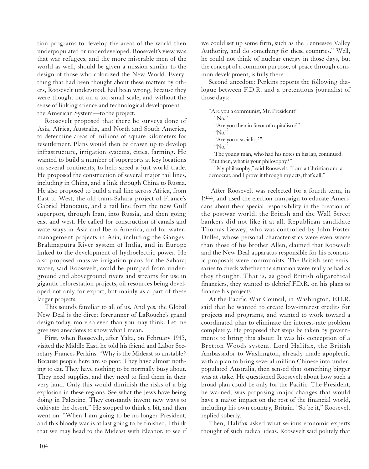tion programs to develop the areas of the world then underpopulated or underdeveloped. Roosevelt's view was that war refugees, and the more miserable men of the world as well, should be given a mission similar to the design of those who colonized the New World. Everything that had been thought about these matters by others, Roosevelt understood, had been wrong, because they were thought out on a too-small scale, and without the sense of linking science and technological development the American System—to the project.

Roosevelt proposed that there be surveys done of Asia, Africa, Australia, and North and South America, to determine areas of millions of square kilometers for resettlement. Plans would then be drawn up to develop infrastructure, irrigation systems, cities, farming. He wanted to build a number of superports at key locations on several continents, to help speed a just world trade. He proposed the construction of several major rail lines, including in China, and a link through China to Russia. He also proposed to build a rail line across Africa, from East to West, the old trans-Sahara project of France's Gabriel Hanotaux, and a rail line from the new Gulf superport, through Iran, into Russia, and then going east and west. He called for construction of canals and waterways in Asia and Ibero-America, and for watermanagement projects in Asia, including the Ganges-Brahmaputra River system of India, and in Europe linked to the development of hydroelectric power. He also proposed massive irrigation plans for the Sahara; water, said Roosevelt, could be pumped from underground and aboveground rivers and streams for use in gigantic reforestation projects, oil resources being developed not only for export, but mainly as a part of these larger projects.

This sounds familiar to all of us. And yes, the Global New Deal is the direct forerunner of LaRouche's grand design today, more so even than you may think. Let me give two anecdotes to show what I mean.

First, when Roosevelt, after Yalta, on February 1945, visited the Middle East, he told his friend and Labor Secretary Frances Perkins: "Why is the Mideast so unstable? Because people here are so poor. They have almost nothing to eat. They have nothing to be normally busy about. They need supplies, and they need to find them in their very land. Only this would diminish the risks of a big explosion in these regions. See what the Jews have being doing in Palestine. They constantly invent new ways to cultivate the desert." He stopped to think a bit, and then went on: "When I am going to be no longer President, and this bloody war is at last going to be finished, I think that we may head to the Mideast with Eleanor, to see if we could set up some firm, such as the Tennessee Valley Authority, and do something for these countries." Well, he could not think of nuclear energy in those days, but the concept of a common purpose, of peace through common development, is fully there.

Second anecdote: Perkins reports the following dialogue between F.D.R. and a pretentious journalist of those days:

"Are you a communist, Mr. President?" " $\overline{N_{\Omega}}$ " "Are you then in favor of capitalism?" "No." "Are you a socialist?" "No." The young man, who had his notes in his lap, continued:

"But then, what is your philosophy?"

"My philosophy," said Roosevelt. "I am a Christian and a democrat, and I prove it through my acts, that's all."

After Roosevelt was reelected for a fourth term, in 1944, and used the election campaign to educate Americans about their special responsibility in the creation of the postwar world, the British and the Wall Street bankers did not like it at all. Republican candidate Thomas Dewey, who was controlled by John Foster Dulles, whose personal characteristics were even worse than those of his brother Allen, claimed that Roosevelt and the New Deal apparatus responsible for his economic proposals were communists. The British sent emissaries to check whether the situation were really as bad as they thought. That is, as good British oligarchical financiers, they wanted to debrief F.D.R. on his plans to finance his projects.

At the Pacific War Council, in Washington, F.D.R. said that he wanted to create low-interest credits for projects and programs, and wanted to work toward a coordinated plan to eliminate the interest-rate problem completely. He proposed that steps be taken by governments to bring this about: It was his conception of a Bretton Woods system. Lord Halifax, the British Ambassador to Washington, already made apoplectic with a plan to bring several million Chinese into underpopulated Australia, then sensed that something bigger was at stake. He questioned Roosevelt about how such a broad plan could be only for the Pacific. The President, he warned, was proposing major changes that would have a major impact on the rest of the financial world, including his own country, Britain. "So be it," Roosevelt replied soberly.

Then, Halifax asked what serious economic experts thought of such radical ideas. Roosevelt said politely that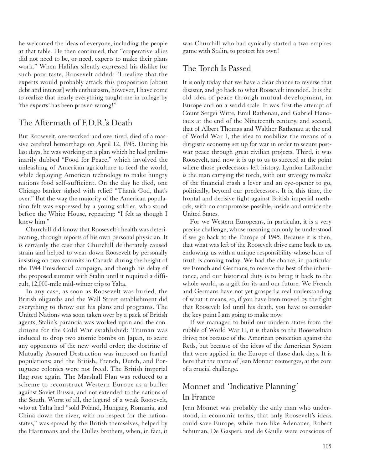he welcomed the ideas of everyone, including the people at that table. He then continued, that "cooperative allies did not need to be, or need, experts to make their plans work." When Halifax silently expressed his dislike for such poor taste, Roosevelt added: "I realize that the experts would probably attack this proposition [about debt and interest] with enthusiasm, however, I have come to realize that nearly everything taught me in college by 'the experts' has been proven wrong!"

# The Aftermath of F.D.R.'s Death

But Roosevelt, overworked and overtired, died of a massive cerebral hemorrhage on April 12, 1945. During his last days, he was working on a plan which he had preliminarily dubbed "Food for Peace," which involved the unleashing of American agriculture to feed the world, while deploying American technology to make hungry nations food self-sufficient. On the day he died, one Chicago banker sighed with relief: "Thank God, that's over." But the way the majority of the American population felt was expressed by a young soldier, who stood before the White House, repeating: "I felt as though I knew him."

Churchill did know that Roosevelt's health was deteriorating, through reports of his own personal physician. It is certainly the case that Churchill deliberately caused strain and helped to wear down Roosevelt by personally insisting on two summits in Canada during the height of the 1944 Presidential campaign, and though his delay of the proposed summit with Stalin until it required a difficult, 12,000-mile mid-winter trip to Yalta.

In any case, as soon as Roosevelt was buried, the British oligarchs and the Wall Street establishment did everything to throw out his plans and programs. The United Nations was soon taken over by a pack of British agents; Stalin's paranoia was worked upon and the conditions for the Cold War established; Truman was induced to drop two atomic bombs on Japan, to scare any opponents of the new world order; the doctrine of Mutually Assured Destruction was imposed on fearful populations; and the British, French, Dutch, and Portuguese colonies were not freed. The British imperial flag rose again. The Marshall Plan was reduced to a scheme to reconstruct Western Europe as a buffer against Soviet Russia, and not extended to the nations of the South. Worst of all, the legend of a weak Roosevelt, who at Yalta had "sold Poland, Hungary, Romania, and China down the river, with no respect for the nationstates," was spread by the British themselves, helped by the Harrimans and the Dulles brothers, when, in fact, it

was Churchill who had cynically started a two-empires game with Stalin, to protect his own!

# The Torch Is Passed

It is only today that we have a clear chance to reverse that disaster, and go back to what Roosevelt intended. It is the old idea of peace through mutual development, in Europe and on a world scale. It was first the attempt of Count Sergei Witte, Emil Rathenau, and Gabriel Hanotaux at the end of the Nineteenth century, and second, that of Albert Thomas and Walther Rathenau at the end of World War I, the idea to mobilize the means of a dirigistic economy set up for war in order to secure postwar peace through great civilian projects. Third, it was Roosevelt, and now it is up to us to succeed at the point where those predecessors left history. Lyndon LaRouche is the man carrying the torch, with our strategy to make of the financial crash a lever and an eye-opener to go, politically, beyond our predecessors. It is, this time, the frontal and decisive fight against British imperial methods, with no compromise possible, inside and outside the United States.

For we Western Europeans, in particular, it is a very precise challenge, whose meaning can only be understood if we go back to the Europe of 1945. Because it is then, that what was left of the Roosevelt drive came back to us, endowing us with a unique responsibility whose hour of truth is coming today. We had the chance, in particular we French and Germans, to receive the best of the inheritance, and our historical duty is to bring it back to the whole world, as a gift for its and our future. We French and Germans have not yet grasped a real understanding of what it means, so, if you have been moved by the fight that Roosevelt led until his death, you have to consider the key point I am going to make now.

If we managed to build our modern states from the rubble of World War II, it is thanks to the Rooseveltian drive; not because of the American protection against the Reds, but because of the ideas of the American System that were applied in the Europe of those dark days. It is here that the name of Jean Monnet reemerges, at the core of a crucial challenge.

# Monnet and 'Indicative Planning' In France

Jean Monnet was probably the only man who understood, in economic terms, that only Roosevelt's ideas could save Europe, while men like Adenauer, Robert Schuman, De Gasperi, and de Gaulle were conscious of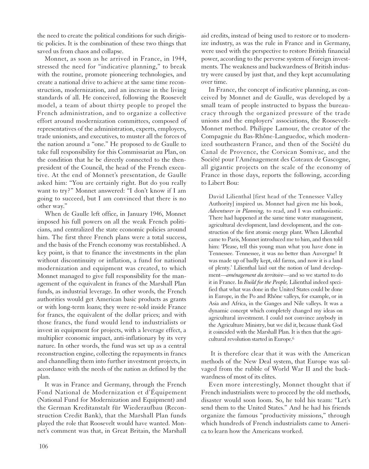the need to create the political conditions for such dirigistic policies. It is the combination of these two things that saved us from chaos and collapse.

Monnet, as soon as he arrived in France, in 1944, stressed the need for "indicative planning," to break with the routine, promote pioneering technologies, and create a national drive to achieve at the same time reconstruction, modernization, and an increase in the living standards of all. He conceived, following the Roosevelt model, a team of about thirty people to propel the French administration, and to organize a collective effort around modernization committees, composed of representatives of the administration, experts, employers, trade unionists, and executives, to muster all the forces of the nation around a "one." He proposed to de Gaulle to take full responsibility for this Commissariat au Plan, on the condition that he be directly connected to the thenpresident of the Council, the head of the French executive. At the end of Monnet's presentation, de Gaulle asked him: "You are certainly right. But do you really want to try?" Monnet answered: "I don't know if I am going to succeed, but I am convinced that there is no other way."

When de Gaulle left office, in January 1946, Monnet imposed his full powers on all the weak French politicians, and centralized the state economic policies around him. The first three French plans were a total success, and the basis of the French economy was reestablished. A key point, is that to finance the investments in the plan without discontinuity or inflation, a fund for national modernization and equipment was created, to which Monnet managed to give full responsibility for the management of the equivalent in francs of the Marshall Plan funds, as industrial leverage. In other words, the French authorities would get American basic products as grants or with long-term loans; they were re-sold inside France for francs, the equivalent of the dollar prices; and with those francs, the fund would lend to industrialists or invest in equipment for projects, with a leverage effect, a multiplier economic impact, anti-inflationary by its very nature. In other words, the fund was set up as a central reconstruction engine, collecting the repayments in francs and channelling them into further investment projects, in accordance with the needs of the nation as defined by the plan.

It was in France and Germany, through the French Fond National de Modernization et d'Équipement (National Fund for Modernization and Equipment) and the German Kreditanstalt für Wiederaufbau (Reconstruction Credit Bank), that the Marshall Plan funds played the role that Roosevelt would have wanted. Monnet's comment was that, in Great Britain, the Marshall aid credits, instead of being used to restore or to modernize industry, as was the rule in France and in Germany, were used with the perspective to restore British financial power, according to the perverse system of foreign investments. The weakness and backwardness of British industry were caused by just that, and they kept accumulating over time.

In France, the concept of indicative planning, as conceived by Monnet and de Gaulle, was developed by a small team of people instructed to bypass the bureaucracy through the organized pressure of the trade unions and the employers' associations, the Roosevelt-Monnet method. Philippe Lamour, the creator of the Compagnie du Bas-Rhône-Languedoc, which modernized southeastern France, and then of the Société du Canal de Provence, the Corsican Somivac, and the Société pour l'Aménagement des Coteaux de Gascogne, all gigantic projects on the scale of the economy of France in those days, reports the following, according to Libert Bou:

David Lilienthal [first head of the Tennessee Valley Authority] inspired us. Monnet had given me his book, *Adventurer in Planning,* to read, and I was enthusiastic. There had happened at the same time water management, agricultural development, land development, and the construction of the first atomic energy plant. When Lilienthal came to Paris, Monnet introduced me to him, and then told him: 'Please, tell this young man what you have done in Tennessee. Tennessee, it was no better than Auvergne! It was made up of badly kept, old farms, and now it is a land of plenty.' Lilienthal laid out the notion of land development—*aménagement du territoire*—and so we started to do it in France. In *Build for the People,* Lilienthal indeed specified that what was done in the United States could be done in Europe, in the Po and Rhône valleys, for example, or in Asia and Africa, in the Ganges and Nile valleys. It was a dynamic concept which completely changed my ideas on agricultural investment. I could not convince anybody in the Agriculture Ministry, but we did it, because thank God it coincided with the Marshall Plan. It is then that the agricultural revolution started in Europe.6

It is therefore clear that it was with the American methods of the New Deal system, that Europe was salvaged from the rubble of World War II and the backwardness of most of its elites.

Even more interestingly, Monnet thought that if French industrialists were to proceed by the old methods, disaster would soon loom. So, he told his team: "Let's send them to the United States." And he had his friends organize the famous "productivity missions," through which hundreds of French industrialists came to America to learn how the Americans worked.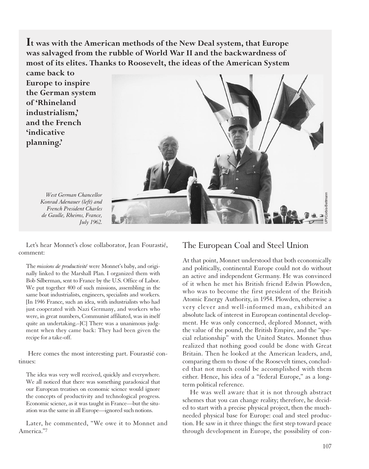**It was with the American methods of the New Deal system, that Europe was salvaged from the rubble of World War II and the backwardness of most of its elites. Thanks to Roosevelt, the ideas of the American System**

**came back to Europe to inspire the German system of 'Rhineland industrialism,' and the French 'indicative planning.'** 



*West German Chancellor Konrad Adenauer (left) and French President Charles de Gaulle, Rheims, France, July 1962.*

Let's hear Monnet's close collaborator, Jean Fourastié, comment:

The *missions de productivité* were Monnet's baby, and originally linked to the Marshall Plan. I organized them with Bob Silberman, sent to France by the U.S. Office of Labor. We put together 400 of such missions, assembling in the same boat industrialists, engineers, specialists and workers. [In 1946 France, such an idea, with industrialists who had just cooperated with Nazi Germany, and workers who were, in great numbers, Communist affiliated, was in itself quite an undertaking.–JC] There was a unanimous judgment when they came back: They had been given the recipe for a take-off.

Here comes the most interesting part. Fourastié continues:

The idea was very well received, quickly and everywhere. We all noticed that there was something paradoxical that our European treatises on economic science would ignore the concepts of productivity and technological progress. Economic science, as it was taught in France—but the situation was the same in all Europe—ignored such notions.

Later, he commented, "We owe it to Monnet and America."7

#### The European Coal and Steel Union

At that point, Monnet understood that both economically and politically, continental Europe could not do without an active and independent Germany. He was convinced of it when he met his British friend Edwin Plowden, who was to become the first president of the British Atomic Energy Authority, in 1954. Plowden, otherwise a very clever and well-informed man, exhibited an absolute lack of interest in European continental development. He was only concerned, deplored Monnet, with the value of the pound, the British Empire, and the "special relationship" with the United States. Monnet thus realized that nothing good could be done with Great Britain. Then he looked at the American leaders, and, comparing them to those of the Roosevelt times, concluded that not much could be accomplished with them either. Hence, his idea of a "federal Europe," as a longterm political reference.

He was well aware that it is not through abstract schemes that you can change reality; therefore, he decided to start with a precise physical project, then the muchneeded physical base for Europe: coal and steel production. He saw in it three things: the first step toward peace through development in Europe, the possibility of con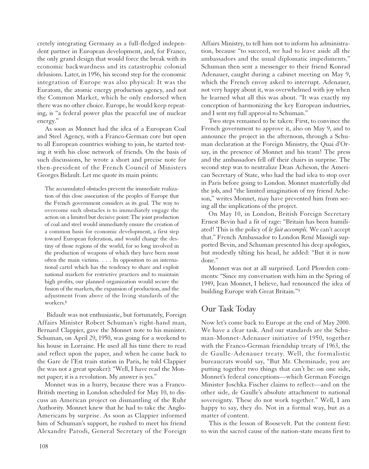cretely integrating Germany as a full-fledged independent partner in European development, and, for France, the only grand design that would force the break with its economic backwardness and its catastrophic colonial delusions. Later, in 1956, his second step for the economic integration of Europe was also physical: It was the Euratom, the atomic energy production agency, and not the Common Market, which he only endorsed when there was no other choice. Europe, he would keep repeating, is "a federal power plus the peaceful use of nuclear energy."

As soon as Monnet had the idea of a European Coal and Steel Agency, with a Franco-German core but open to all European countries wishing to join, he started testing it with his close network of friends. On the basis of such discussions, he wrote a short and precise note for then-president of the French Council of Ministers Georges Bidault. Let me quote its main points:

The accumulated obstacles prevent the immediate realization of this close association of the peoples of Europe that the French government considers as its goal. The way to overcome such obstacles is to immediately engage the action on a limited but decisive point: The joint production of coal and steel would immediately ensure the creation of a common basis for economic development, a first step toward European federation, and would change the destiny of those regions of the world, for so long involved in the production of weapons of which they have been most often the main victims. . . . In opposition to an international cartel which has the tendency to share and exploit national markets for restrictive practices and to maintain high profits, our planned organization would secure the fusion of the markets, the expansion of production, and the adjustment from above of the living standards of the workers.8

Bidault was not enthusiastic, but fortunately, Foreign Affairs Minister Robert Schuman's right-hand man, Bernard Clappier, gave the Monnet note to his minister. Schuman, on April 29, 1950, was going for a weekend to his house in Lorraine. He used all his time there to read and reflect upon the paper, and when he came back to the Gare de l'Est train station in Paris, he told Clappier (he was not a great speaker): "Well, I have read the Monnet paper; it is a revolution. My answer is yes."

Monnet was in a hurry, because there was a Franco-British meeting in London scheduled for May 10, to discuss an American project on dismantling of the Ruhr Authority. Monnet knew that he had to take the Anglo-Americans by surprise. As soon as Clappier informed him of Schuman's support, he rushed to meet his friend Alexandre Parodi, General Secretary of the Foreign

Affairs Ministry, to tell him not to inform his administration, because "to succeed, we had to leave aside all the ambassadors and the usual diplomatic impediments." Schuman then sent a messenger to their friend Konrad Adenauer, caught during a cabinet meeting on May 9, which the French envoy asked to interrupt. Adenauer, not very happy about it, was overwhelmed with joy when he learned what all this was about. "It was exactly my conception of harmonizing the key European industries, and I sent my full approval to Schuman."

Two steps remained to be taken: First, to convince the French government to approve it, also on May 9, and to announce the project in the afternoon, through a Schuman declaration at the Foreign Ministry, the Quai d'Orsay, in the presence of Monnet and his team! The press and the ambassadors fell off their chairs in surprise. The second step was to neutralize Dean Acheson, the American Secretary of State, who had the bad idea to stop over in Paris before going to London. Monnet masterfully did the job, and "the limited imagination of my friend Acheson," writes Monnet, may have prevented him from seeing all the implications of the project.

On May 10, in London, British Foreign Secretary Ernest Bevin had a fit of rage: "Britain has been humiliated! This is the policy of *le fait accompli.* We can't accept that." French Ambassador to London René Massigli supported Bevin, and Schuman presented his deep apologies, but modestly tilting his head, he added: "But it is now done."

Monnet was not at all surprised. Lord Plowden comments: "Since my conversation with him in the Spring of 1949, Jean Monnet, I believe, had renounced the idea of building Europe with Great Britain."9

# Our Task Today

Now let's come back to Europe at the end of May 2000. We have a clear task. And our standards are the Schuman-Monnet-Adenauer initiative of 1950, together with the Franco-German friendship treaty of 1963, the de Gaulle-Adenauer treaty. Well, the formalistic bureaucrats would say, "But Mr. Cheminade, you are putting together two things that can't be: on one side, Monnet's federal conceptions—which German Foreign Minister Joschka Fischer claims to reflect—and on the other side, de Gaulle's absolute attachment to national sovereignty. These do not work together." Well, I am happy to say, they do. Not in a formal way, but as a matter of content.

This is the lesson of Roosevelt. Put the content first: to win the sacred cause of the nation-state means first to